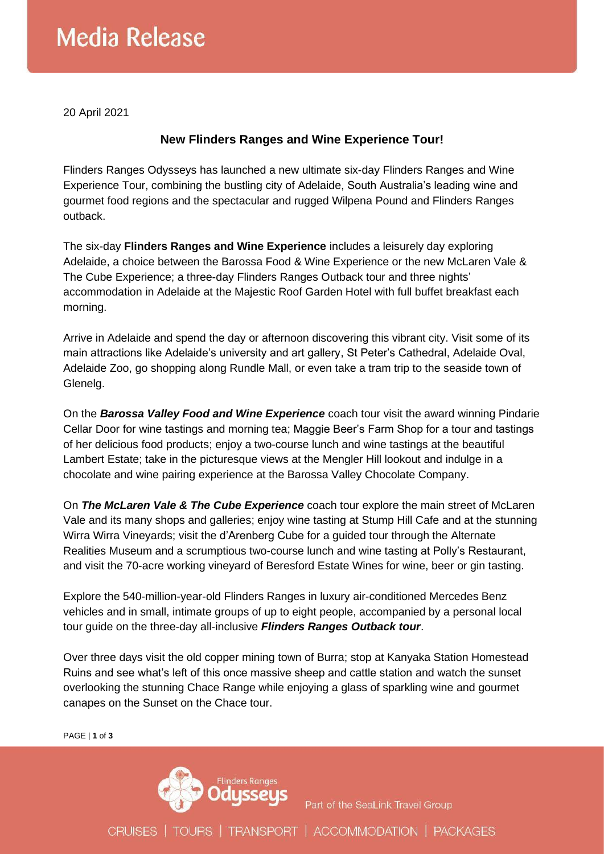## **Media Release**

20 April 2021

## **New Flinders Ranges and Wine Experience Tour!**

Flinders Ranges Odysseys has launched a new ultimate six-day Flinders Ranges and Wine Experience Tour, combining the bustling city of Adelaide, South Australia's leading wine and gourmet food regions and the spectacular and rugged Wilpena Pound and Flinders Ranges outback.

The six-day **Flinders Ranges and Wine Experience** includes a leisurely day exploring Adelaide, a choice between the Barossa Food & Wine Experience or the new McLaren Vale & The Cube Experience; a three-day Flinders Ranges Outback tour and three nights' accommodation in Adelaide at the Majestic Roof Garden Hotel with full buffet breakfast each morning.

Arrive in Adelaide and spend the day or afternoon discovering this vibrant city. Visit some of its main attractions like Adelaide's university and art gallery, St Peter's Cathedral, Adelaide Oval, Adelaide Zoo, go shopping along Rundle Mall, or even take a tram trip to the seaside town of Glenelg.

On the *Barossa Valley Food and Wine Experience* coach tour visit the award winning Pindarie Cellar Door for wine tastings and morning tea; Maggie Beer's Farm Shop for a tour and tastings of her delicious food products; enjoy a two-course lunch and wine tastings at the beautiful Lambert Estate; take in the picturesque views at the Mengler Hill lookout and indulge in a chocolate and wine pairing experience at the Barossa Valley Chocolate Company.

On *The McLaren Vale & The Cube Experience* coach tour explore the main street of McLaren Vale and its many shops and galleries; enjoy wine tasting at Stump Hill Cafe and at the stunning Wirra Wirra Vineyards; visit the d'Arenberg Cube for a guided tour through the Alternate Realities Museum and a scrumptious two-course lunch and wine tasting at Polly's Restaurant, and visit the 70-acre working vineyard of Beresford Estate Wines for wine, beer or gin tasting.

Explore the 540-million-year-old Flinders Ranges in luxury air-conditioned Mercedes Benz vehicles and in small, intimate groups of up to eight people, accompanied by a personal local tour guide on the three-day all-inclusive *Flinders Ranges Outback tour*.

Over three days visit the old copper mining town of Burra; stop at Kanyaka Station Homestead Ruins and see what's left of this once massive sheep and cattle station and watch the sunset overlooking the stunning Chace Range while enjoying a glass of sparkling wine and gourmet canapes on the Sunset on the Chace tour.

PAGE | **1** of **3**



Part of the SeaLink Travel Group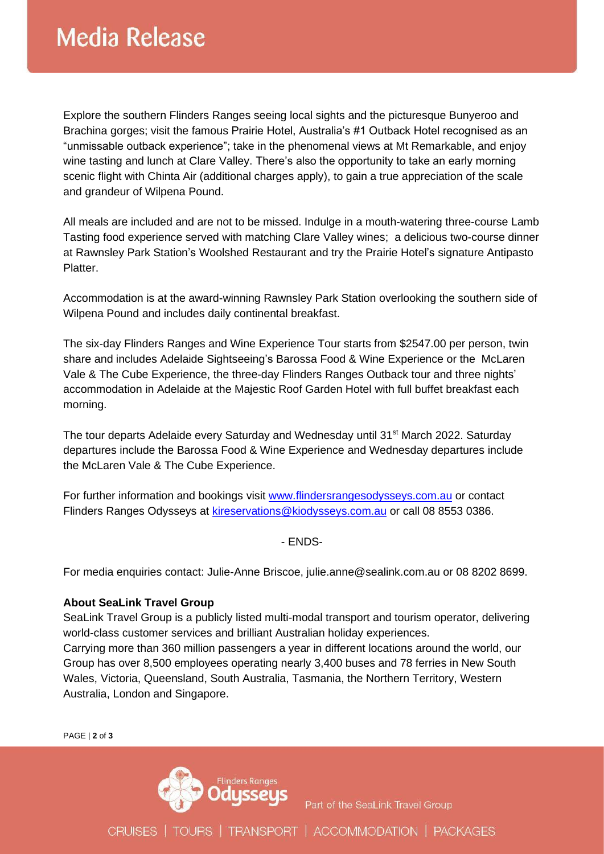Explore the southern Flinders Ranges seeing local sights and the picturesque Bunyeroo and Brachina gorges; visit the famous Prairie Hotel, Australia's #1 Outback Hotel recognised as an "unmissable outback experience"; take in the phenomenal views at Mt Remarkable, and enjoy wine tasting and lunch at Clare Valley. There's also the opportunity to take an early morning scenic flight with Chinta Air (additional charges apply), to gain a true appreciation of the scale and grandeur of Wilpena Pound.

All meals are included and are not to be missed. Indulge in a mouth-watering three-course Lamb Tasting food experience served with matching Clare Valley wines; a delicious two-course dinner at Rawnsley Park Station's Woolshed Restaurant and try the Prairie Hotel's signature Antipasto Platter.

Accommodation is at the award-winning Rawnsley Park Station overlooking the southern side of Wilpena Pound and includes daily continental breakfast.

The six-day Flinders Ranges and Wine Experience Tour starts from \$2547.00 per person, twin share and includes Adelaide Sightseeing's Barossa Food & Wine Experience or the McLaren Vale & The Cube Experience, the three-day Flinders Ranges Outback tour and three nights' accommodation in Adelaide at the Majestic Roof Garden Hotel with full buffet breakfast each morning.

The tour departs Adelaide every Saturday and Wednesday until 31<sup>st</sup> March 2022. Saturday departures include the Barossa Food & Wine Experience and Wednesday departures include the McLaren Vale & The Cube Experience.

For further information and bookings visit [www.flindersrangesodysseys.com.au](http://www.flindersrangesodysseys.com.au/) or contact Flinders Ranges Odysseys at [kireservations@kiodysseys.com.au](mailto:kireservations@kiodysseys.com.au) or call 08 8553 0386.

- ENDS-

For media enquiries contact: Julie-Anne Briscoe, julie.anne@sealink.com.au or 08 8202 8699.

## **About SeaLink Travel Group**

SeaLink Travel Group is a publicly listed multi-modal transport and tourism operator, delivering world-class customer services and brilliant Australian holiday experiences. Carrying more than 360 million passengers a year in different locations around the world, our Group has over 8,500 employees operating nearly 3,400 buses and 78 ferries in New South Wales, Victoria, Queensland, South Australia, Tasmania, the Northern Territory, Western Australia, London and Singapore.

PAGE | **2** of **3**



Part of the SeaLink Travel Group